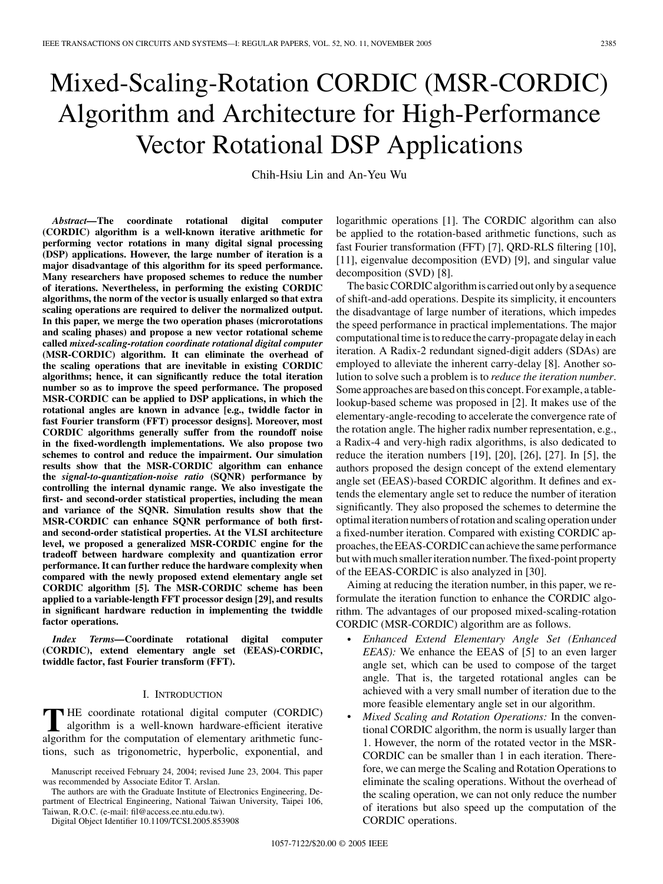# Mixed-Scaling-Rotation CORDIC (MSR-CORDIC) Algorithm and Architecture for High-Performance Vector Rotational DSP Applications

Chih-Hsiu Lin and An-Yeu Wu

*Abstract—***The coordinate rotational digital computer (CORDIC) algorithm is a well-known iterative arithmetic for performing vector rotations in many digital signal processing (DSP) applications. However, the large number of iteration is a major disadvantage of this algorithm for its speed performance. Many researchers have proposed schemes to reduce the number of iterations. Nevertheless, in performing the existing CORDIC algorithms, the norm of the vector is usually enlarged so that extra scaling operations are required to deliver the normalized output. In this paper, we merge the two operation phases (microrotations and scaling phases) and propose a new vector rotational scheme called** *mixed-scaling-rotation coordinate rotational digital computer* **(MSR-CORDIC) algorithm. It can eliminate the overhead of the scaling operations that are inevitable in existing CORDIC algorithms; hence, it can significantly reduce the total iteration number so as to improve the speed performance. The proposed MSR-CORDIC can be applied to DSP applications, in which the rotational angles are known in advance [e.g., twiddle factor in fast Fourier transform (FFT) processor designs]. Moreover, most CORDIC algorithms generally suffer from the roundoff noise in the fixed-wordlength implementations. We also propose two schemes to control and reduce the impairment. Our simulation results show that the MSR-CORDIC algorithm can enhance the** *signal-to-quantization-noise ratio* **(SQNR) performance by controlling the internal dynamic range. We also investigate the first- and second-order statistical properties, including the mean and variance of the SQNR. Simulation results show that the MSR-CORDIC can enhance SQNR performance of both firstand second-order statistical properties. At the VLSI architecture level, we proposed a generalized MSR-CORDIC engine for the tradeoff between hardware complexity and quantization error performance. It can further reduce the hardware complexity when compared with the newly proposed extend elementary angle set CORDIC algorithm [\[5\]](#page-11-0). The MSR-CORDIC scheme has been applied to a variable-length FFT processor design [\[29](#page-11-0)], and results in significant hardware reduction in implementing the twiddle factor operations.**

*Index Terms—***Coordinate rotational digital computer (CORDIC), extend elementary angle set (EEAS)-CORDIC, twiddle factor, fast Fourier transform (FFT).**

#### I. INTRODUCTION

**T** HE coordinate rotational digital computer (CORDIC) algorithm is a well-known hardware-efficient iterative algorithm for the computation of elementary arithmetic functions, such as trigonometric, hyperbolic, exponential, and

The authors are with the Graduate Institute of Electronics Engineering, Department of Electrical Engineering, National Taiwan University, Taipei 106, Taiwan, R.O.C. (e-mail: fil@access.ee.ntu.edu.tw).

Digital Object Identifier 10.1109/TCSI.2005.853908

logarithmic operations [[1\]](#page-11-0). The CORDIC algorithm can also be applied to the rotation-based arithmetic functions, such as fast Fourier transformation (FFT) [[7\]](#page-11-0), QRD-RLS filtering [\[10](#page-11-0)], [\[11](#page-11-0)], eigenvalue decomposition (EVD) [\[9](#page-11-0)], and singular value decomposition (SVD) [\[8](#page-11-0)].

The basic CORDIC algorithm is carried out only by a sequence of shift-and-add operations. Despite its simplicity, it encounters the disadvantage of large number of iterations, which impedes the speed performance in practical implementations. The major computational time is to reduce the carry-propagate delay in each iteration. A Radix-2 redundant signed-digit adders (SDAs) are employed to alleviate the inherent carry-delay [\[8](#page-11-0)]. Another solution to solve such a problem is to *reduce the iteration number*. Some approaches are based on this concept. For example, a tablelookup-based scheme was proposed in [[2\]](#page-11-0). It makes use of the elementary-angle-recoding to accelerate the convergence rate of the rotation angle. The higher radix number representation, e.g., a Radix-4 and very-high radix algorithms, is also dedicated to reduce the iteration numbers [\[19](#page-11-0)], [[20\]](#page-11-0), [\[26](#page-11-0)], [[27\]](#page-11-0). In [[5\]](#page-11-0), the authors proposed the design concept of the extend elementary angle set (EEAS)-based CORDIC algorithm. It defines and extends the elementary angle set to reduce the number of iteration significantly. They also proposed the schemes to determine the optimal iteration numbers of rotation and scaling operation under a fixed-number iteration. Compared with existing CORDIC approaches, the EEAS-CORDIC can achieve the same performance but with much smaller iteration number. The fixed-point property of the EEAS-CORDIC is also analyzed in [\[30](#page-11-0)].

Aiming at reducing the iteration number, in this paper, we reformulate the iteration function to enhance the CORDIC algorithm. The advantages of our proposed mixed-scaling-rotation CORDIC (MSR-CORDIC) algorithm are as follows.

- *Enhanced Extend Elementary Angle Set (Enhanced EEAS*): We enhance the EEAS of [[5\]](#page-11-0) to an even larger angle set, which can be used to compose of the target angle. That is, the targeted rotational angles can be achieved with a very small number of iteration due to the more feasible elementary angle set in our algorithm.
- *Mixed Scaling and Rotation Operations:* In the conventional CORDIC algorithm, the norm is usually larger than 1. However, the norm of the rotated vector in the MSR-CORDIC can be smaller than 1 in each iteration. Therefore, we can merge the Scaling and Rotation Operations to eliminate the scaling operations. Without the overhead of the scaling operation, we can not only reduce the number of iterations but also speed up the computation of the CORDIC operations.

Manuscript received February 24, 2004; revised June 23, 2004. This paper was recommended by Associate Editor T. Arslan.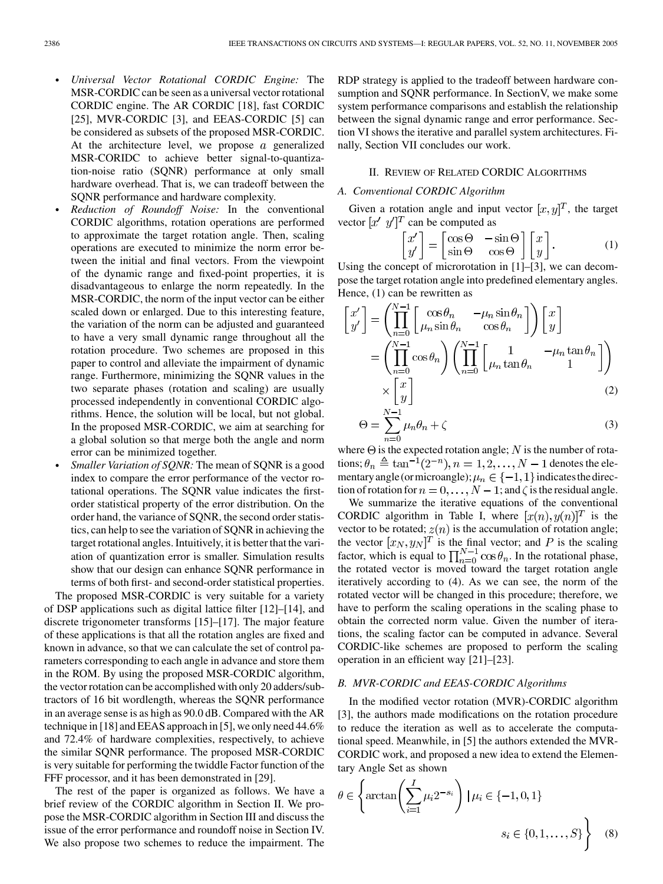- *Universal Vector Rotational CORDIC Engine:* The MSR-CORDIC can be seen as a universal vector rotational CORDIC engine. The AR CORDIC [[18\]](#page-11-0), fast CORDIC [[25\]](#page-11-0), MVR-CORDIC [[3\]](#page-11-0), and EEAS-CORDIC [\[5](#page-11-0)] can be considered as subsets of the proposed MSR-CORDIC. At the architecture level, we propose  $a$  generalized MSR-CORIDC to achieve better signal-to-quantization-noise ratio (SQNR) performance at only small hardware overhead. That is, we can tradeoff between the SQNR performance and hardware complexity.
- *Reduction of Roundoff Noise:* In the conventional CORDIC algorithms, rotation operations are performed to approximate the target rotation angle. Then, scaling operations are executed to minimize the norm error between the initial and final vectors. From the viewpoint of the dynamic range and fixed-point properties, it is disadvantageous to enlarge the norm repeatedly. In the MSR-CORDIC, the norm of the input vector can be either scaled down or enlarged. Due to this interesting feature, the variation of the norm can be adjusted and guaranteed to have a very small dynamic range throughout all the rotation procedure. Two schemes are proposed in this paper to control and alleviate the impairment of dynamic range. Furthermore, minimizing the SQNR values in the two separate phases (rotation and scaling) are usually processed independently in conventional CORDIC algorithms. Hence, the solution will be local, but not global. In the proposed MSR-CORDIC, we aim at searching for a global solution so that merge both the angle and norm error can be minimized together.
- *Smaller Variation of SQNR:* The mean of SQNR is a good index to compare the error performance of the vector rotational operations. The SQNR value indicates the firstorder statistical property of the error distribution. On the order hand, the variance of SQNR, the second order statistics, can help to see the variation of SQNR in achieving the target rotational angles. Intuitively, it is better that the variation of quantization error is smaller. Simulation results show that our design can enhance SQNR performance in terms of both first- and second-order statistical properties.

The proposed MSR-CORDIC is very suitable for a variety of DSP applications such as digital lattice filter [\[12](#page-11-0)]–[[14\]](#page-11-0), and discrete trigonometer transforms [\[15](#page-11-0)]–[\[17\]](#page-11-0). The major feature of these applications is that all the rotation angles are fixed and known in advance, so that we can calculate the set of control parameters corresponding to each angle in advance and store them in the ROM. By using the proposed MSR-CORDIC algorithm, the vector rotation can be accomplished with only 20 adders/subtractors of 16 bit wordlength, whereas the SQNR performance in an average sense is as high as 90.0 dB. Compared with the AR technique in [\[18](#page-11-0)] and EEAS approach in [\[5](#page-11-0)], we only need 44.6% and 72.4% of hardware complexities, respectively, to achieve the similar SQNR performance. The proposed MSR-CORDIC is very suitable for performing the twiddle Factor function of the FFF processor, and it has been demonstrated in [\[29](#page-11-0)].

The rest of the paper is organized as follows. We have a brief review of the CORDIC algorithm in Section II. We propose the MSR-CORDIC algorithm in Section III and discuss the issue of the error performance and roundoff noise in Section IV. We also propose two schemes to reduce the impairment. The

RDP strategy is applied to the tradeoff between hardware consumption and SQNR performance. In SectionV, we make some system performance comparisons and establish the relationship between the signal dynamic range and error performance. Section VI shows the iterative and parallel system architectures. Finally, Section VII concludes our work.

## II. REVIEW OF RELATED CORDIC ALGORITHMS

# *A. Conventional CORDIC Algorithm*

Given a rotation angle and input vector  $[x, y]^T$ , the target vector  $[x' y']^T$  can be computed as

$$
\begin{bmatrix} x' \\ y' \end{bmatrix} = \begin{bmatrix} \cos \Theta & -\sin \Theta \\ \sin \Theta & \cos \Theta \end{bmatrix} \begin{bmatrix} x \\ y \end{bmatrix}.
$$
 (1)

Using the concept of microrotation in [[1\]](#page-11-0)–[\[3](#page-11-0)], we can decompose the target rotation angle into predefined elementary angles. Hence, (1) can be rewritten as

$$
\begin{bmatrix} x' \\ y' \end{bmatrix} = \left( \prod_{n=0}^{N-1} \begin{bmatrix} \cos \theta_n & -\mu_n \sin \theta_n \\ \mu_n \sin \theta_n & \cos \theta_n \end{bmatrix} \right) \begin{bmatrix} x \\ y \end{bmatrix}
$$

$$
= \left( \prod_{n=0}^{N-1} \cos \theta_n \right) \left( \prod_{n=0}^{N-1} \begin{bmatrix} 1 & -\mu_n \tan \theta_n \\ \mu_n \tan \theta_n & 1 \end{bmatrix} \right)
$$

$$
\times \begin{bmatrix} x \\ y \end{bmatrix}
$$
(2)

$$
\Theta = \sum_{n=0}^{N-1} \mu_n \theta_n + \zeta \tag{3}
$$

where  $\Theta$  is the expected rotation angle; N is the number of rotations;  $\theta_n \triangleq \tan^{-1}(2^{-n}), n = 1, 2, ..., N-1$  denotes the elementary angle (or microangle);  $\mu_n \in \{-1, 1\}$  indicates the direction of rotation for  $n = 0, ..., N - 1$ ; and  $\zeta$  is the residual angle.

We summarize the iterative equations of the conventional CORDIC algorithm in Table I, where  $[x(n), y(n)]^T$  is the vector to be rotated;  $z(n)$  is the accumulation of rotation angle; the vector  $[x_N, y_N]^T$  is the final vector; and P is the scaling factor, which is equal to  $\prod_{n=0}^{N-1} \cos \theta_n$ . In the rotational phase, the rotated vector is moved toward the target rotation angle iteratively according to (4). As we can see, the norm of the rotated vector will be changed in this procedure; therefore, we have to perform the scaling operations in the scaling phase to obtain the corrected norm value. Given the number of iterations, the scaling factor can be computed in advance. Several CORDIC-like schemes are proposed to perform the scaling operation in an efficient way [\[21](#page-11-0)]–[[23\]](#page-11-0).

### *B. MVR-CORDIC and EEAS-CORDIC Algorithms*

In the modified vector rotation (MVR)-CORDIC algorithm [[3\]](#page-11-0), the authors made modifications on the rotation procedure to reduce the iteration as well as to accelerate the computational speed. Meanwhile, in [\[5](#page-11-0)] the authors extended the MVR-CORDIC work, and proposed a new idea to extend the Elementary Angle Set as shown

$$
\theta \in \left\{ \arctan\left(\sum_{i=1}^{I} \mu_i 2^{-s_i} \right) \mid \mu_i \in \{-1, 0, 1\}
$$

$$
s_i \in \{0, 1, \dots, S\} \right\}
$$
(8)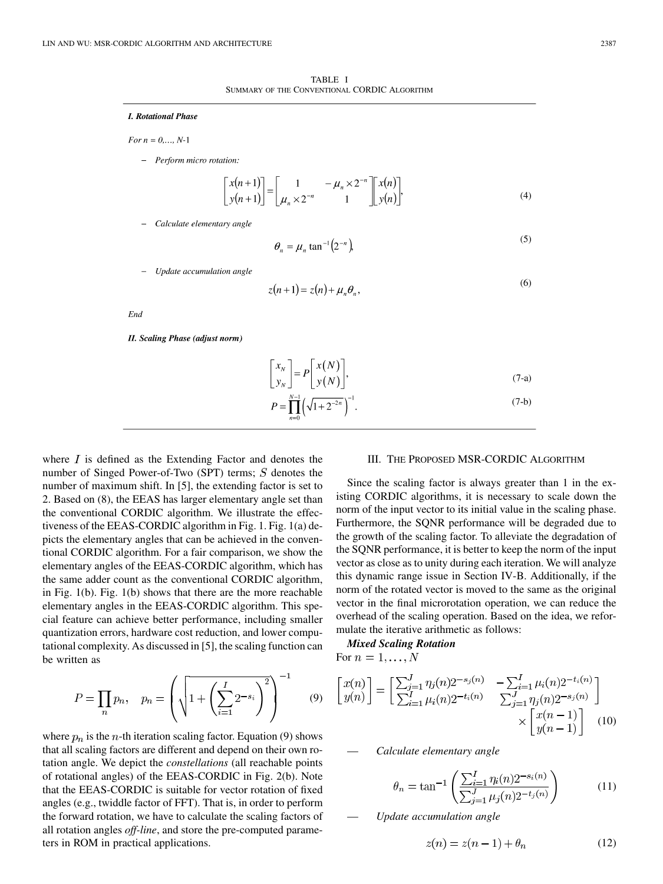TABLE I SUMMARY OF THE CONVENTIONAL CORDIC ALGORITHM

#### **I. Rotational Phase**

For  $n = 0, ..., N-1$ 

- Perform micro rotation:

$$
\begin{bmatrix} x(n+1) \\ y(n+1) \end{bmatrix} = \begin{bmatrix} 1 & -\mu_n \times 2^{-n} \\ \mu_n \times 2^{-n} & 1 \end{bmatrix} \begin{bmatrix} x(n) \\ y(n) \end{bmatrix},
$$
\n(4)

Calculate elementary angle

$$
\theta_n = \mu_n \tan^{-1}\left(2^{-n}\right),\tag{3}
$$

Update accumulation angle

$$
z(n+1) = z(n) + \mu_n \theta_n,\tag{6}
$$

End

**II.** Scaling Phase (adjust norm)

$$
\begin{bmatrix} x_N \\ y_N \end{bmatrix} = P \begin{bmatrix} x(N) \\ y(N) \end{bmatrix},
$$
  
\n
$$
P = \prod_{n=0}^{N-1} \left( \sqrt{1 + 2^{-2n}} \right)^{-1}.
$$
 (7-a)

where  $I$  is defined as the Extending Factor and denotes the number of Singed Power-of-Two (SPT) terms;  $S$  denotes the number of maximum shift. In [\[5](#page-11-0)], the extending factor is set to 2. Based on (8), the EEAS has larger elementary angle set than the conventional CORDIC algorithm. We illustrate the effectiveness of the EEAS-CORDIC algorithm in Fig. 1. Fig. 1(a) depicts the elementary angles that can be achieved in the conventional CORDIC algorithm. For a fair comparison, we show the elementary angles of the EEAS-CORDIC algorithm, which has the same adder count as the conventional CORDIC algorithm, in Fig. 1(b). Fig. 1(b) shows that there are the more reachable elementary angles in the EEAS-CORDIC algorithm. This special feature can achieve better performance, including smaller quantization errors, hardware cost reduction, and lower computational complexity. As discussed in [[5\]](#page-11-0), the scaling function can be written as

$$
P = \prod_{n} p_n, \quad p_n = \left( \sqrt{1 + \left( \sum_{i=1}^{I} 2^{-s_i} \right)^2} \right)^{-1} \tag{9}
$$

where  $p_n$  is the *n*-th iteration scaling factor. Equation (9) shows that all scaling factors are different and depend on their own rotation angle. We depict the *constellations* (all reachable points of rotational angles) of the EEAS-CORDIC in Fig. 2(b). Note that the EEAS-CORDIC is suitable for vector rotation of fixed angles (e.g., twiddle factor of FFT). That is, in order to perform the forward rotation, we have to calculate the scaling factors of all rotation angles *off-line*, and store the pre-computed parameters in ROM in practical applications.

#### III. THE PROPOSED MSR-CORDIC ALGORITHM

 $\sqrt{5}$ 

Since the scaling factor is always greater than 1 in the existing CORDIC algorithms, it is necessary to scale down the norm of the input vector to its initial value in the scaling phase. Furthermore, the SQNR performance will be degraded due to the growth of the scaling factor. To alleviate the degradation of the SQNR performance, it is better to keep the norm of the input vector as close as to unity during each iteration. We will analyze this dynamic range issue in Section IV-B. Additionally, if the norm of the rotated vector is moved to the same as the original vector in the final microrotation operation, we can reduce the overhead of the scaling operation. Based on the idea, we reformulate the iterative arithmetic as follows:

Mixed Scaling Rotation  
For 
$$
n = 1, ..., N
$$

$$
\begin{bmatrix} x(n) \\ y(n) \end{bmatrix} = \begin{bmatrix} \sum_{j=1}^{J} \eta_j(n) 2^{-s_j(n)} & -\sum_{i=1}^{I} \mu_i(n) 2^{-t_i(n)} \\ \sum_{i=1}^{I} \mu_i(n) 2^{-t_i(n)} & \sum_{j=1}^{J} \eta_j(n) 2^{-s_j(n)} \\ \times \begin{bmatrix} x(n-1) \\ y(n-1) \end{bmatrix} \end{bmatrix}
$$
(10)

— *Calculate elementary angle*

$$
\theta_n = \tan^{-1}\left(\frac{\sum_{i=1}^I \eta_i(n) 2^{-s_i(n)}}{\sum_{j=1}^J \mu_j(n) 2^{-t_j(n)}}\right) \tag{11}
$$

— *Update accumulation angle*

$$
z(n) = z(n-1) + \theta_n \tag{12}
$$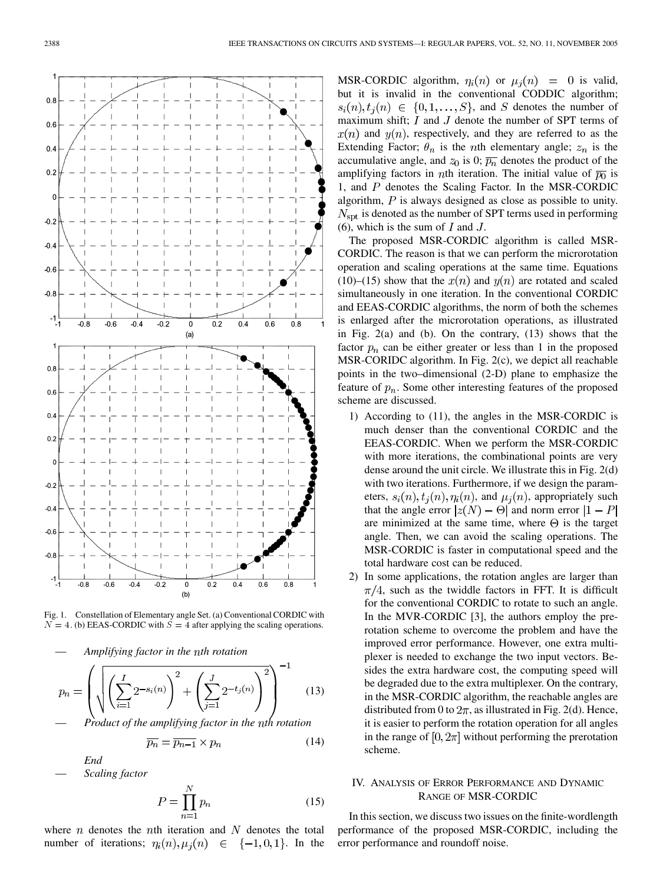$0.\xi$  $0.6$  $0.4$  $0.2$  $\sqrt{2}$  $-0.2$  $-0.4$  $-0.6$  $-0.8$  $0.2$  $0.6$  $0.8$  $-0.8$  $-0.6$  $-0.4$  $-0.2$  $\Omega$  $0.4$  $\overline{1}$  $(a)$  $0.8$  $0.6$  $0.4$  $0.2$  $\sqrt{2}$  $-0.2$  $-0<sub>4</sub>$  $-0.6$  $-0.8$ -1  $-0.8$  $-0.6$  $-0.4$  $\Omega$  $0.2$  $0.4$  $0.8$  $-0.2$  $0.6$  $(b)$ 

Fig. 1. Constellation of Elementary angle Set. (a) Conventional CORDIC with  $N = 4$ . (b) EEAS-CORDIC with  $S = 4$  after applying the scaling operations.

$$
- \text{Amplifying factor in the nth rotation}
$$
\n
$$
p_n = \left( \sqrt{\left( \sum_{i=1}^{I} 2^{-s_i(n)} \right)^2 + \left( \sum_{j=1}^{J} 2^{-t_j(n)} \right)^2} \right)^{-1}
$$
\nProduct of the amplifying factor in the nth rotation

— *Product of the amplifying factor in the th rotation*

$$
\overline{p_n} = \overline{p_{n-1}} \times p_n \tag{14}
$$

*End* — *Scaling factor*

$$
P = \prod_{n=1}^{N} p_n \tag{15}
$$

where  $n$  denotes the  $n$ th iteration and  $N$  denotes the total number of iterations;  $\eta_i(n), \mu_i(n) \in \{-1, 0, 1\}$ . In the MSR-CORDIC algorithm,  $\eta_i(n)$  or  $\mu_i(n) = 0$  is valid, but it is invalid in the conventional CODDIC algorithm;  $s_i(n), t_i(n) \in \{0, 1, \ldots, S\}$ , and S denotes the number of maximum shift;  $I$  and  $J$  denote the number of SPT terms of  $x(n)$  and  $y(n)$ , respectively, and they are referred to as the Extending Factor;  $\theta_n$  is the *n*th elementary angle;  $z_n$  is the accumulative angle, and  $z_0$  is 0;  $\overline{p_n}$  denotes the product of the amplifying factors in *n*th iteration. The initial value of  $\overline{p_0}$  is 1, and  $P$  denotes the Scaling Factor. In the MSR-CORDIC algorithm,  $P$  is always designed as close as possible to unity.  $N_{\rm spt}$  is denoted as the number of SPT terms used in performing (6), which is the sum of  $I$  and  $J$ .

The proposed MSR-CORDIC algorithm is called MSR-CORDIC. The reason is that we can perform the microrotation operation and scaling operations at the same time. Equations (10)–(15) show that the  $x(n)$  and  $y(n)$  are rotated and scaled simultaneously in one iteration. In the conventional CORDIC and EEAS-CORDIC algorithms, the norm of both the schemes is enlarged after the microrotation operations, as illustrated in Fig. 2(a) and (b). On the contrary, (13) shows that the factor  $p_n$  can be either greater or less than 1 in the proposed MSR-CORIDC algorithm. In Fig. 2(c), we depict all reachable points in the two–dimensional (2-D) plane to emphasize the feature of  $p_n$ . Some other interesting features of the proposed scheme are discussed.

- 1) According to (11), the angles in the MSR-CORDIC is much denser than the conventional CORDIC and the EEAS-CORDIC. When we perform the MSR-CORDIC with more iterations, the combinational points are very dense around the unit circle. We illustrate this in Fig. 2(d) with two iterations. Furthermore, if we design the parameters,  $s_i(n), t_i(n), \eta_i(n)$ , and  $\mu_i(n)$ , appropriately such that the angle error  $|z(N) - \Theta|$  and norm error  $|1 - P|$ are minimized at the same time, where  $\Theta$  is the target angle. Then, we can avoid the scaling operations. The MSR-CORDIC is faster in computational speed and the total hardware cost can be reduced.
- 2) In some applications, the rotation angles are larger than  $\pi/4$ , such as the twiddle factors in FFT. It is difficult for the conventional CORDIC to rotate to such an angle. In the MVR-CORDIC [[3\]](#page-11-0), the authors employ the prerotation scheme to overcome the problem and have the improved error performance. However, one extra multiplexer is needed to exchange the two input vectors. Besides the extra hardware cost, the computing speed will be degraded due to the extra multiplexer. On the contrary, in the MSR-CORDIC algorithm, the reachable angles are distributed from 0 to  $2\pi$ , as illustrated in Fig. 2(d). Hence, it is easier to perform the rotation operation for all angles in the range of  $[0, 2\pi]$  without performing the prerotation scheme.

## IV. ANALYSIS OF ERROR PERFORMANCE AND DYNAMIC RANGE OF MSR-CORDIC

In this section, we discuss two issues on the finite-wordlength performance of the proposed MSR-CORDIC, including the error performance and roundoff noise.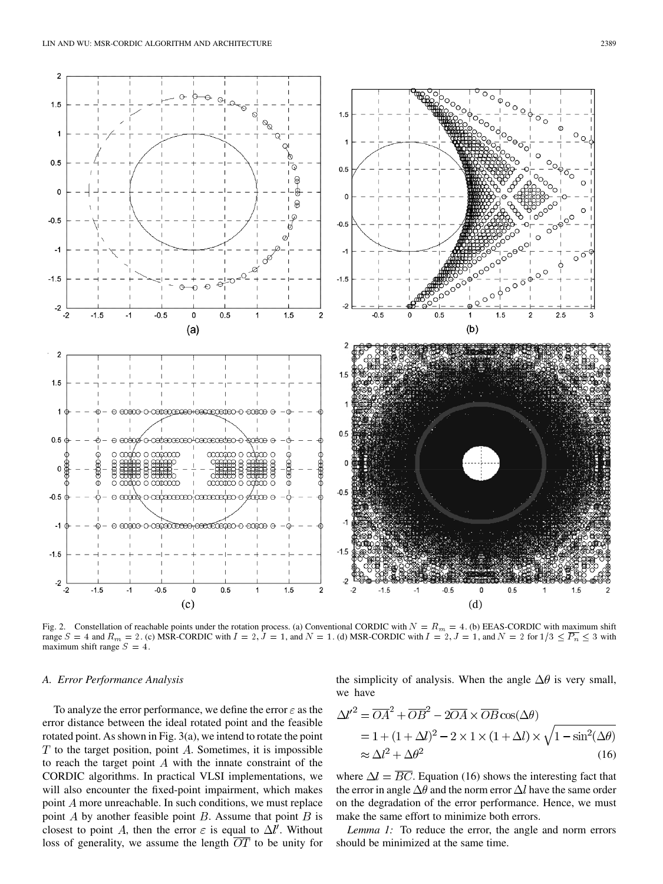

Fig. 2. Constellation of reachable points under the rotation process. (a) Conventional CORDIC with  $N = R_m = 4$ . (b) EEAS-CORDIC with maximum shift range  $S = 4$  and  $R_m = 2$ . (c) MSR-CORDIC with  $I = 2$ ,  $J = 1$ , and  $N = 1$ . (d) MSR-CORDIC with  $I = 2$ ,  $J = 1$ , and  $N = 2$  for  $1/3 \le \overline{P_n} \le 3$  with maximum shift range  $S = 4$ .

# *A. Error Performance Analysis*

To analyze the error performance, we define the error  $\varepsilon$  as the error distance between the ideal rotated point and the feasible rotated point. As shown in Fig. 3(a), we intend to rotate the point  $T$  to the target position, point  $A$ . Sometimes, it is impossible to reach the target point  $A$  with the innate constraint of the CORDIC algorithms. In practical VLSI implementations, we will also encounter the fixed-point impairment, which makes point  $A$  more unreachable. In such conditions, we must replace point  $A$  by another feasible point  $B$ . Assume that point  $B$  is closest to point A, then the error  $\varepsilon$  is equal to  $\Delta l'$ . Without loss of generality, we assume the length  $\overline{OT}$  to be unity for

the simplicity of analysis. When the angle  $\Delta\theta$  is very small, we have

$$
\Delta l'^2 = \overline{OA}^2 + \overline{OB}^2 - 2\overline{OA} \times \overline{OB} \cos(\Delta \theta)
$$
  
= 1 + (1 + \Delta l)^2 - 2 \times 1 \times (1 + \Delta l) \times \sqrt{1 - \sin^2(\Delta \theta)}  

$$
\approx \Delta l^2 + \Delta \theta^2
$$
 (16)

where  $\Delta l = \overline{BC}$ . Equation (16) shows the interesting fact that the error in angle  $\Delta\theta$  and the norm error  $\Delta l$  have the same order on the degradation of the error performance. Hence, we must make the same effort to minimize both errors.

*Lemma 1:* To reduce the error, the angle and norm errors should be minimized at the same time.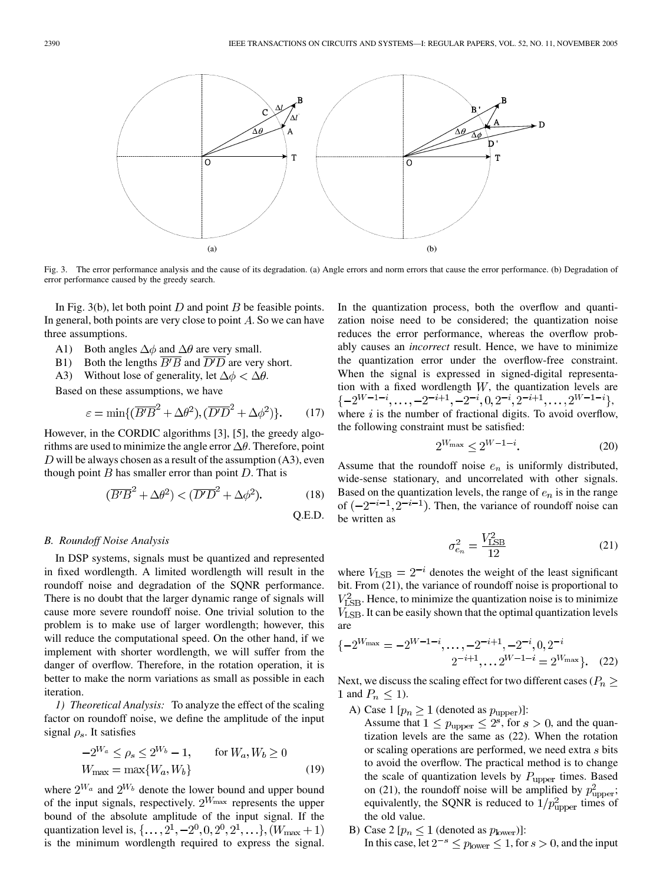

Fig. 3. The error performance analysis and the cause of its degradation. (a) Angle errors and norm errors that cause the error performance. (b) Degradation of error performance caused by the greedy search.

In Fig. 3(b), let both point  $D$  and point  $B$  be feasible points. In general, both points are very close to point  $A$ . So we can have three assumptions.

- A1) Both angles  $\Delta \phi$  and  $\Delta \theta$  are very small.
- B1) Both the lengths  $\overline{B'B}$  and  $\overline{D'D}$  are very short.
- A3) Without lose of generality, let  $\Delta \phi < \Delta \theta$ .

Based on these assumptions, we have

$$
\varepsilon = \min\{(\overline{B'B}^2 + \Delta\theta^2), (\overline{D'D}^2 + \Delta\phi^2)\}.
$$
 (17)

However, in the CORDIC algorithms [[3\]](#page-11-0), [[5\]](#page-11-0), the greedy algorithms are used to minimize the angle error  $\Delta\theta$ . Therefore, point  $D$  will be always chosen as a result of the assumption  $(A3)$ , even though point  $B$  has smaller error than point  $D$ . That is

$$
(\overline{B'B}^2 + \Delta\theta^2) < (\overline{D'D}^2 + \Delta\phi^2). \tag{18}
$$

Q.E.D.

#### *B. Roundoff Noise Analysis*

In DSP systems, signals must be quantized and represented in fixed wordlength. A limited wordlength will result in the roundoff noise and degradation of the SQNR performance. There is no doubt that the larger dynamic range of signals will cause more severe roundoff noise. One trivial solution to the problem is to make use of larger wordlength; however, this will reduce the computational speed. On the other hand, if we implement with shorter wordlength, we will suffer from the danger of overflow. Therefore, in the rotation operation, it is better to make the norm variations as small as possible in each iteration.

*1) Theoretical Analysis:* To analyze the effect of the scaling factor on roundoff noise, we define the amplitude of the input signal  $\rho_s$ . It satisfies

$$
-2^{W_a} \le \rho_s \le 2^{W_b} - 1, \qquad \text{for } W_a, W_b \ge 0
$$
  

$$
W_{\text{max}} = \max\{W_a, W_b\}
$$
 (19)

where  $2^{W_a}$  and  $2^{W_b}$  denote the lower bound and upper bound of the input signals, respectively.  $2^{W_{\text{max}}}$  represents the upper bound of the absolute amplitude of the input signal. If the quantization level is,  $\{ \ldots, 2^1, -2^0, 0, 2^0, 2^1, \ldots \}, (W_{\text{max}} + 1)$ is the minimum wordlength required to express the signal.

In the quantization process, both the overflow and quantization noise need to be considered; the quantization noise reduces the error performance, whereas the overflow probably causes an *incorrect* result. Hence, we have to minimize the quantization error under the overflow-free constraint. When the signal is expressed in signed-digital representation with a fixed wordlength  $W$ , the quantization levels are  $\{-2^{W-1-i}, \ldots, -2^{-i+1}, -2^{-i}, 0, 2^{-i}, 2^{-i+1}, \ldots, 2^{W-1-i}\},$ where  $i$  is the number of fractional digits. To avoid overflow, the following constraint must be satisfied:

$$
2^{W_{\max}} \le 2^{W-1-i}.\tag{20}
$$

Assume that the roundoff noise  $e_n$  is uniformly distributed, wide-sense stationary, and uncorrelated with other signals. Based on the quantization levels, the range of  $e_n$  is in the range of  $(-2^{-i-1}, 2^{-i-1})$ . Then, the variance of roundoff noise can be written as

$$
\sigma_{e_n}^2 = \frac{V_{\text{LSB}}^2}{12} \tag{21}
$$

where  $V_{\text{LSB}} = 2^{-i}$  denotes the weight of the least significant bit. From (21), the variance of roundoff noise is proportional to  $V_{\rm LSB}^2$ . Hence, to minimize the quantization noise is to minimize  $V_{\rm LSB}$ . It can be easily shown that the optimal quantization levels are

$$
\{-2^{W_{\text{max}}} = -2^{W-1-i}, \dots, -2^{-i+1}, -2^{-i}, 0, 2^{-i} 2^{-i+1}, \dots 2^{W-1-i} = 2^{W_{\text{max}}} \}. (22)
$$

Next, we discuss the scaling effect for two different cases ( $P_n \ge$ 1 and  $P_n \leq 1$ ).

A) Case 1 [ $p_n \geq 1$  (denoted as  $p_{\text{upper}}$ )]:

Assume that  $1 \leq p_{\text{upper}} \leq 2^s$ , for  $s > 0$ , and the quantization levels are the same as (22). When the rotation or scaling operations are performed, we need extra  $s$  bits to avoid the overflow. The practical method is to change the scale of quantization levels by  $P_{\text{upper}}$  times. Based on (21), the roundoff noise will be amplified by  $p_{\text{upper}}^2$ ; equivalently, the SQNR is reduced to  $1/p_{\text{upper}}^2$  times of the old value.

B) Case 2 [ $p_n \leq 1$  (denoted as  $p_{\text{lower}}$ )]: In this case, let  $2^{-s} \leq p_{\text{lower}} \leq 1$ , for  $s > 0$ , and the input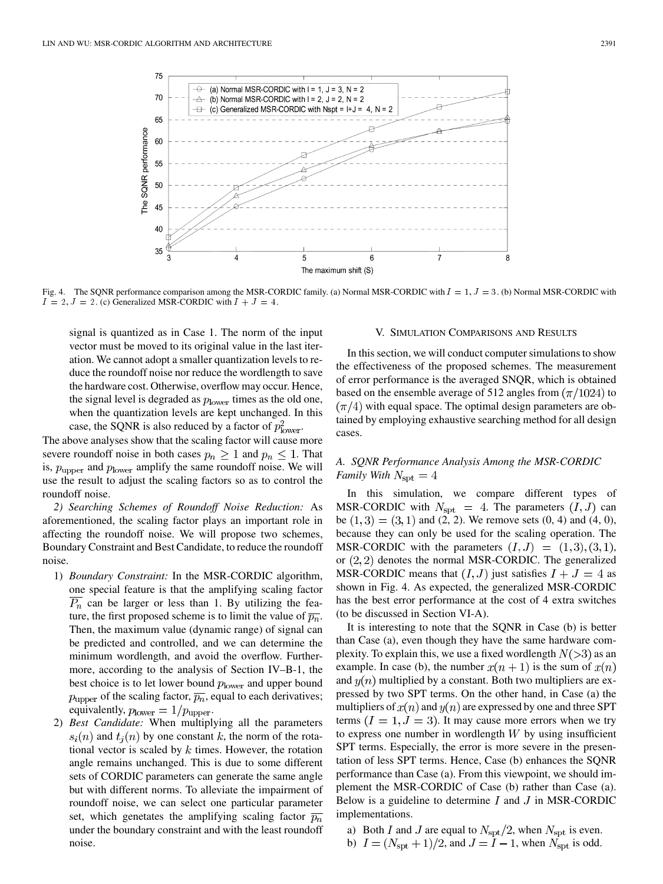

Fig. 4. The SONR performance comparison among the MSR-CORDIC family. (a) Normal MSR-CORDIC with  $I = 1$ ,  $J = 3$ . (b) Normal MSR-CORDIC with  $I = 2$ ,  $J = 2$ . (c) Generalized MSR-CORDIC with  $I + J = 4$ .

signal is quantized as in Case 1. The norm of the input vector must be moved to its original value in the last iteration. We cannot adopt a smaller quantization levels to reduce the roundoff noise nor reduce the wordlength to save the hardware cost. Otherwise, overflow may occur. Hence, the signal level is degraded as  $p_{\text{lower}}$  times as the old one, when the quantization levels are kept unchanged. In this case, the SQNR is also reduced by a factor of  $p_{\text{lower}}^2$ .

The above analyses show that the scaling factor will cause more severe roundoff noise in both cases  $p_n \geq 1$  and  $p_n \leq 1$ . That is,  $p_{\text{upper}}$  and  $p_{\text{lower}}$  amplify the same roundoff noise. We will use the result to adjust the scaling factors so as to control the roundoff noise.

*2) Searching Schemes of Roundoff Noise Reduction:* As aforementioned, the scaling factor plays an important role in affecting the roundoff noise. We will propose two schemes, Boundary Constraint and Best Candidate, to reduce the roundoff noise.

- 1) *Boundary Constraint:* In the MSR-CORDIC algorithm, one special feature is that the amplifying scaling factor  $P_n$  can be larger or less than 1. By utilizing the feature, the first proposed scheme is to limit the value of  $\overline{p_n}$ . Then, the maximum value (dynamic range) of signal can be predicted and controlled, and we can determine the minimum wordlength, and avoid the overflow. Furthermore, according to the analysis of Section IV–B-1, the best choice is to let lower bound  $p_{\text{lower}}$  and upper bound  $p_{\text{upper}}$  of the scaling factor,  $\overline{p_n}$ , equal to each derivatives; equivalently,  $p_{\text{lower}} = 1/p_{\text{upper}}$ .
- 2) *Best Candidate:* When multiplying all the parameters  $s_i(n)$  and  $t_i(n)$  by one constant k, the norm of the rotational vector is scaled by  $k$  times. However, the rotation angle remains unchanged. This is due to some different sets of CORDIC parameters can generate the same angle but with different norms. To alleviate the impairment of roundoff noise, we can select one particular parameter set, which genetates the amplifying scaling factor  $\overline{p_n}$ under the boundary constraint and with the least roundoff noise.

# V. SIMULATION COMPARISONS AND RESULTS

In this section, we will conduct computer simulations to show the effectiveness of the proposed schemes. The measurement of error performance is the averaged SNQR, which is obtained based on the ensemble average of 512 angles from  $(\pi/1024)$  to  $(\pi/4)$  with equal space. The optimal design parameters are obtained by employing exhaustive searching method for all design cases.

# *A. SQNR Performance Analysis Among the MSR-CORDIC Family With*  $N_{\rm spt} = 4$

In this simulation, we compare different types of MSR-CORDIC with  $N_{\rm spt}$  = 4. The parameters  $(I, J)$  can be  $(1, 3) = (3, 1)$  and  $(2, 2)$ . We remove sets  $(0, 4)$  and  $(4, 0)$ , because they can only be used for the scaling operation. The MSR-CORDIC with the parameters  $(I, J) = (1, 3), (3, 1),$ or  $(2,2)$  denotes the normal MSR-CORDIC. The generalized MSR-CORDIC means that  $(I, J)$  just satisfies  $I + J = 4$  as shown in Fig. 4. As expected, the generalized MSR-CORDIC has the best error performance at the cost of 4 extra switches (to be discussed in Section VI-A).

It is interesting to note that the SQNR in Case (b) is better than Case (a), even though they have the same hardware complexity. To explain this, we use a fixed wordlength  $N(>3)$  as an example. In case (b), the number  $x(n + 1)$  is the sum of  $x(n)$ and  $y(n)$  multiplied by a constant. Both two multipliers are expressed by two SPT terms. On the other hand, in Case (a) the multipliers of  $x(n)$  and  $y(n)$  are expressed by one and three SPT terms  $(I = 1, J = 3)$ . It may cause more errors when we try to express one number in wordlength  $W$  by using insufficient SPT terms. Especially, the error is more severe in the presentation of less SPT terms. Hence, Case (b) enhances the SQNR performance than Case (a). From this viewpoint, we should implement the MSR-CORDIC of Case (b) rather than Case (a). Below is a guideline to determine  $I$  and  $J$  in MSR-CORDIC implementations.

- a) Both I and J are equal to  $N_{\rm spt}/2$ , when  $N_{\rm spt}$  is even.
- b)  $I = (N_{\text{spt}} + 1)/2$ , and  $J = I 1$ , when  $N_{\text{spt}}$  is odd.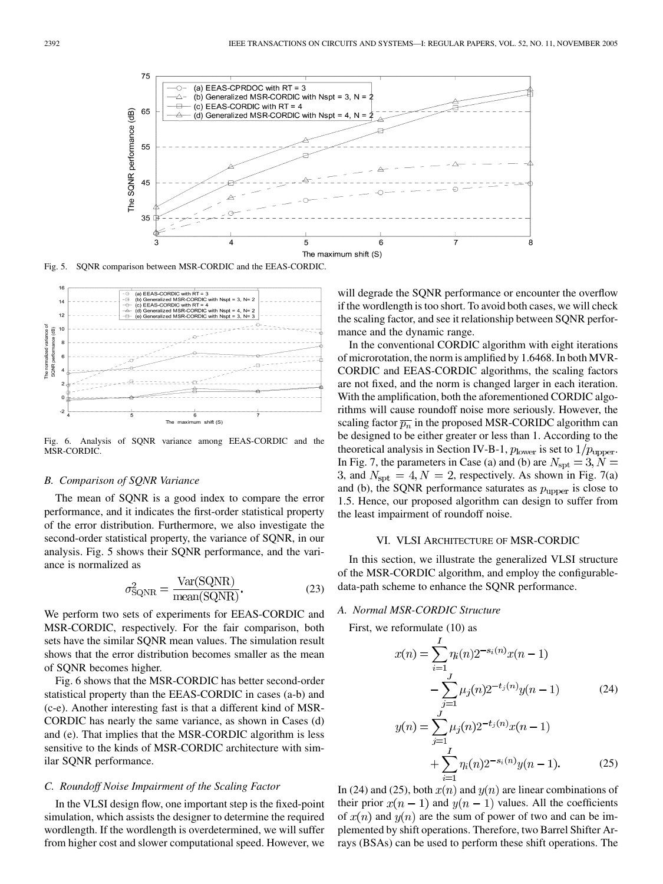

Fig. 5. SQNR comparison between MSR-CORDIC and the EEAS-CORDIC.



Fig. 6. Analysis of SQNR variance among EEAS-CORDIC and the MSR-CORDIC.

## *B. Comparison of SQNR Variance*

The mean of SQNR is a good index to compare the error performance, and it indicates the first-order statistical property of the error distribution. Furthermore, we also investigate the second-order statistical property, the variance of SQNR, in our analysis. Fig. 5 shows their SQNR performance, and the variance is normalized as

$$
\sigma_{\text{SQNR}}^2 = \frac{\text{Var(SQNR)}}{\text{mean(SQNR)}}.
$$
\n(23)

We perform two sets of experiments for EEAS-CORDIC and MSR-CORDIC, respectively. For the fair comparison, both sets have the similar SQNR mean values. The simulation result shows that the error distribution becomes smaller as the mean of SQNR becomes higher.

Fig. 6 shows that the MSR-CORDIC has better second-order statistical property than the EEAS-CORDIC in cases (a-b) and (c-e). Another interesting fast is that a different kind of MSR-CORDIC has nearly the same variance, as shown in Cases (d) and (e). That implies that the MSR-CORDIC algorithm is less sensitive to the kinds of MSR-CORDIC architecture with similar SQNR performance.

## *C. Roundoff Noise Impairment of the Scaling Factor*

In the VLSI design flow, one important step is the fixed-point simulation, which assists the designer to determine the required wordlength. If the wordlength is overdetermined, we will suffer from higher cost and slower computational speed. However, we

will degrade the SQNR performance or encounter the overflow if the wordlength is too short. To avoid both cases, we will check the scaling factor, and see it relationship between SQNR performance and the dynamic range.

In the conventional CORDIC algorithm with eight iterations of microrotation, the norm is amplified by 1.6468. In both MVR-CORDIC and EEAS-CORDIC algorithms, the scaling factors are not fixed, and the norm is changed larger in each iteration. With the amplification, both the aforementioned CORDIC algorithms will cause roundoff noise more seriously. However, the scaling factor  $\overline{p_n}$  in the proposed MSR-CORIDC algorithm can be designed to be either greater or less than 1. According to the theoretical analysis in Section IV-B-1,  $p_{\text{lower}}$  is set to  $1/p_{\text{upper}}$ . In Fig. 7, the parameters in Case (a) and (b) are  $N_{\rm spt} = 3, N =$ 3, and  $N_{\text{spt}} = 4, N = 2$ , respectively. As shown in Fig. 7(a) and (b), the SQNR performance saturates as  $p_{\text{upper}}$  is close to 1.5. Hence, our proposed algorithm can design to suffer from the least impairment of roundoff noise.

## VI. VLSI ARCHITECTURE OF MSR-CORDIC

In this section, we illustrate the generalized VLSI structure of the MSR-CORDIC algorithm, and employ the configurabledata-path scheme to enhance the SQNR performance.

## *A. Normal MSR-CORDIC Structure*

First, we reformulate (10) as

$$
x(n) = \sum_{i=1}^{I} \eta_i(n) 2^{-s_i(n)} x(n-1)
$$
  
\n
$$
-\sum_{j=1}^{J} \mu_j(n) 2^{-t_j(n)} y(n-1)
$$
(24)  
\n
$$
y(n) = \sum_{j=1}^{J} \mu_j(n) 2^{-t_j(n)} x(n-1)
$$
  
\n
$$
+\sum_{j=1}^{I} \eta_i(n) 2^{-s_i(n)} y(n-1).
$$
(25)

In (24) and (25), both  $x(n)$  and  $y(n)$  are linear combinations of their prior  $x(n - 1)$  and  $y(n - 1)$  values. All the coefficients of  $x(n)$  and  $y(n)$  are the sum of power of two and can be implemented by shift operations. Therefore, two Barrel Shifter Arrays (BSAs) can be used to perform these shift operations. The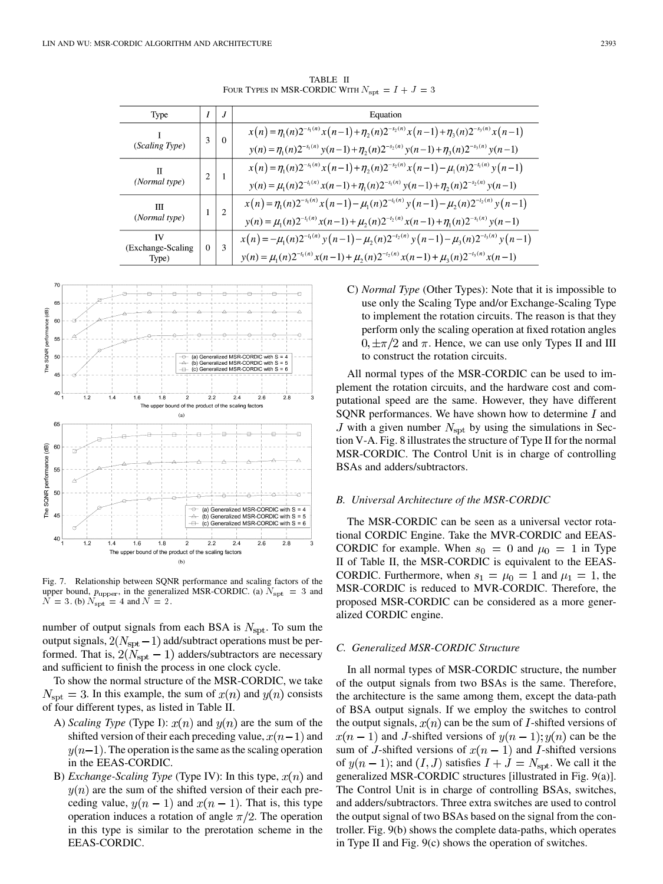| Type                                     |          | J              | Equation                                                                                                                                                                                           |  |  |  |
|------------------------------------------|----------|----------------|----------------------------------------------------------------------------------------------------------------------------------------------------------------------------------------------------|--|--|--|
| (Scaling Type)                           | 3        | $\Omega$       | $x(n) = \eta_1(n)2^{-s_1(n)} x(n-1) + \eta_2(n)2^{-s_2(n)} x(n-1) + \eta_3(n)2^{-s_3(n)} x(n-1)$<br>$y(n) = \eta_1(n)2^{-s_1(n)}y(n-1) + \eta_2(n)2^{-s_2(n)}y(n-1) + \eta_3(n)2^{-s_3(n)}y(n-1)$  |  |  |  |
| П<br>(Normal type)                       | 2        |                | $x(n) = \eta_1(n)2^{-s_1(n)}x(n-1) + \eta_2(n)2^{-s_2(n)}x(n-1) - \mu_1(n)2^{-t_1(n)}y(n-1)$<br>$y(n) = \mu_1(n) 2^{-t_1(n)} x(n-1) + \eta_1(n) 2^{-s_1(n)} y(n-1) + \eta_2(n) 2^{-s_2(n)} y(n-1)$ |  |  |  |
| Ш<br>(Normal type)                       |          | $\overline{c}$ | $x(n) = \eta_1(n)2^{-s_1(n)}x(n-1) - \mu_1(n)2^{-t_1(n)}y(n-1) - \mu_2(n)2^{-t_2(n)}y(n-1)$<br>$y(n) = \mu_1(n) 2^{-t_1(n)} x(n-1) + \mu_2(n) 2^{-t_2(n)} x(n-1) + \eta_1(n) 2^{-s_1(n)} y(n-1)$   |  |  |  |
| <b>IV</b><br>(Exchange-Scaling)<br>Type) | $\theta$ | 3              | $x(n) = -\mu_1(n)2^{-t_1(n)} y(n-1) - \mu_2(n)2^{-t_2(n)} y(n-1) - \mu_3(n)2^{-t_3(n)} y(n-1)$<br>$y(n) = \mu_1(n)2^{-t_1(n)}x(n-1) + \mu_2(n)2^{-t_2(n)}x(n-1) + \mu_3(n)2^{-t_3(n)}x(n-1)$       |  |  |  |

TABLE II FOUR TYPES IN MSR-CORDIC WITH  $N_{\text{spt}} = I + J = 3$ 



Fig. 7. Relationship between SQNR performance and scaling factors of the upper bound,  $p_{\text{upper}}$ , in the generalized MSR-CORDIC. (a)  $N_{\text{spr}} = 3$  and  $N = 3$ . (b)  $N_{\rm spt} = 4$  and  $N = 2$ .

number of output signals from each BSA is  $N_{\text{spt}}$ . To sum the output signals,  $2(N_{\rm spt}-1)$  add/subtract operations must be performed. That is,  $2(N_{\rm spt} - 1)$  adders/subtractors are necessary and sufficient to finish the process in one clock cycle.

To show the normal structure of the MSR-CORDIC, we take  $N_{\text{spt}} = 3$ . In this example, the sum of  $x(n)$  and  $y(n)$  consists of four different types, as listed in Table II.

- A) *Scaling Type* (Type I):  $x(n)$  and  $y(n)$  are the sum of the shifted version of their each preceding value,  $x(n-1)$  and  $y(n-1)$ . The operation is the same as the scaling operation in the EEAS-CORDIC.
- B) *Exchange-Scaling Type* (Type IV): In this type,  $x(n)$  and  $y(n)$  are the sum of the shifted version of their each preceding value,  $y(n - 1)$  and  $x(n - 1)$ . That is, this type operation induces a rotation of angle  $\pi/2$ . The operation in this type is similar to the prerotation scheme in the EEAS-CORDIC.

C) *Normal Type* (Other Types): Note that it is impossible to use only the Scaling Type and/or Exchange-Scaling Type to implement the rotation circuits. The reason is that they perform only the scaling operation at fixed rotation angles  $0, \pm \pi/2$  and  $\pi$ . Hence, we can use only Types II and III to construct the rotation circuits.

All normal types of the MSR-CORDIC can be used to implement the rotation circuits, and the hardware cost and computational speed are the same. However, they have different SQNR performances. We have shown how to determine  $I$  and J with a given number  $N_{\text{spt}}$  by using the simulations in Section V-A. Fig. 8 illustrates the structure of Type II for the normal MSR-CORDIC. The Control Unit is in charge of controlling BSAs and adders/subtractors.

#### *B. Universal Architecture of the MSR-CORDIC*

The MSR-CORDIC can be seen as a universal vector rotational CORDIC Engine. Take the MVR-CORDIC and EEAS-CORDIC for example. When  $s_0 = 0$  and  $\mu_0 = 1$  in Type II of Table II, the MSR-CORDIC is equivalent to the EEAS-CORDIC. Furthermore, when  $s_1 = \mu_0 = 1$  and  $\mu_1 = 1$ , the MSR-CORDIC is reduced to MVR-CORDIC. Therefore, the proposed MSR-CORDIC can be considered as a more generalized CORDIC engine.

#### *C. Generalized MSR-CORDIC Structure*

In all normal types of MSR-CORDIC structure, the number of the output signals from two BSAs is the same. Therefore, the architecture is the same among them, except the data-path of BSA output signals. If we employ the switches to control the output signals,  $x(n)$  can be the sum of I-shifted versions of  $x(n-1)$  and J-shifted versions of  $y(n-1); y(n)$  can be the sum of J-shifted versions of  $x(n - 1)$  and I-shifted versions of  $y(n-1)$ ; and  $(I, J)$  satisfies  $I + J = N<sub>spt</sub>$ . We call it the generalized MSR-CORDIC structures [illustrated in Fig. 9(a)]. The Control Unit is in charge of controlling BSAs, switches, and adders/subtractors. Three extra switches are used to control the output signal of two BSAs based on the signal from the controller. Fig. 9(b) shows the complete data-paths, which operates in Type II and Fig. 9(c) shows the operation of switches.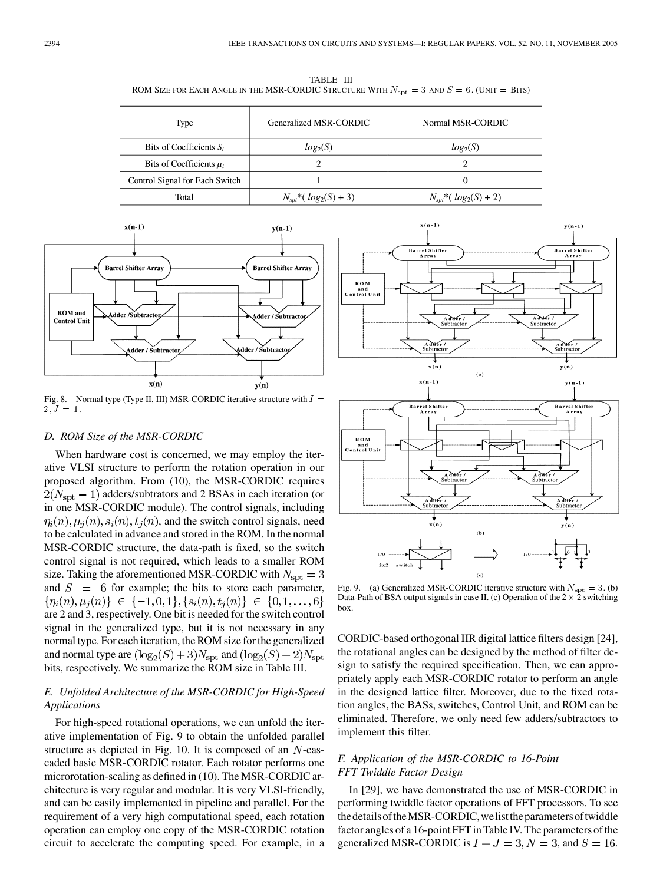TABLE III ROM SIZE FOR EACH ANGLE IN THE MSR-CORDIC STRUCTURE WITH  $N_{\rm spt} = 3$  and  $S = 6$ . (UNIT = BITS)

| Type                           | Generalized MSR-CORDIC       | Normal MSR-CORDIC               |  |  |
|--------------------------------|------------------------------|---------------------------------|--|--|
| Bits of Coefficients $S_i$     | $log_2(S)$                   | $log_2(S)$                      |  |  |
| Bits of Coefficients $\mu_i$   |                              |                                 |  |  |
| Control Signal for Each Switch |                              | O                               |  |  |
| Total                          | $N_{spt}$ *( $log_2(S)$ + 3) | $N_{\rm spt}$ *( $log_2(S)$ +2) |  |  |



Fig. 8. Normal type (Type II, III) MSR-CORDIC iterative structure with  $I =$  $2, J = 1.$ 

## *D. ROM Size of the MSR-CORDIC*

When hardware cost is concerned, we may employ the iterative VLSI structure to perform the rotation operation in our proposed algorithm. From (10), the MSR-CORDIC requires  $2(N_{\rm spt}-1)$  adders/subtrators and 2 BSAs in each iteration (or in one MSR-CORDIC module). The control signals, including  $\eta_i(n), \mu_i(n), s_i(n), t_i(n)$ , and the switch control signals, need to be calculated in advance and stored in the ROM. In the normal MSR-CORDIC structure, the data-path is fixed, so the switch control signal is not required, which leads to a smaller ROM size. Taking the aforementioned MSR-CORDIC with  $N_{\text{spt}} = 3$ and  $S = 6$  for example; the bits to store each parameter,  $\{\eta_i(n), \mu_j(n)\}\in \{-1,0,1\}, \{s_i(n), t_j(n)\}\in \{0,1,\ldots,6\}$ are 2 and 3, respectively. One bit is needed for the switch control signal in the generalized type, but it is not necessary in any normal type. For each iteration, the ROM size for the generalized and normal type are  $(\log_2(S) + 3)N_{\rm spt}$  and  $(\log_2(S) + 2)N_{\rm spt}$ bits, respectively. We summarize the ROM size in Table III.

# *E. Unfolded Architecture of the MSR-CORDIC for High-Speed Applications*

For high-speed rotational operations, we can unfold the iterative implementation of Fig. 9 to obtain the unfolded parallel structure as depicted in Fig. 10. It is composed of an  $N$ -cascaded basic MSR-CORDIC rotator. Each rotator performs one microrotation-scaling as defined in (10). The MSR-CORDIC architecture is very regular and modular. It is very VLSI-friendly, and can be easily implemented in pipeline and parallel. For the requirement of a very high computational speed, each rotation operation can employ one copy of the MSR-CORDIC rotation circuit to accelerate the computing speed. For example, in a



Fig. 9. (a) Generalized MSR-CORDIC iterative structure with  $N_{\rm spt} = 3$ . (b) Data-Path of BSA output signals in case II. (c) Operation of the  $2 \times 2$  switching box.

CORDIC-based orthogonal IIR digital lattice filters design [[24\]](#page-11-0), the rotational angles can be designed by the method of filter design to satisfy the required specification. Then, we can appropriately apply each MSR-CORDIC rotator to perform an angle in the designed lattice filter. Moreover, due to the fixed rotation angles, the BASs, switches, Control Unit, and ROM can be eliminated. Therefore, we only need few adders/subtractors to implement this filter.

## *F. Application of the MSR-CORDIC to 16-Point FFT Twiddle Factor Design*

In [\[29](#page-11-0)], we have demonstrated the use of MSR-CORDIC in performing twiddle factor operations of FFT processors. To see thedetailsoftheMSR-CORDIC,welisttheparametersoftwiddle factor angles of a 16-point FFT in Table IV. The parameters of the generalized MSR-CORDIC is  $I + J = 3, N = 3$ , and  $S = 16$ .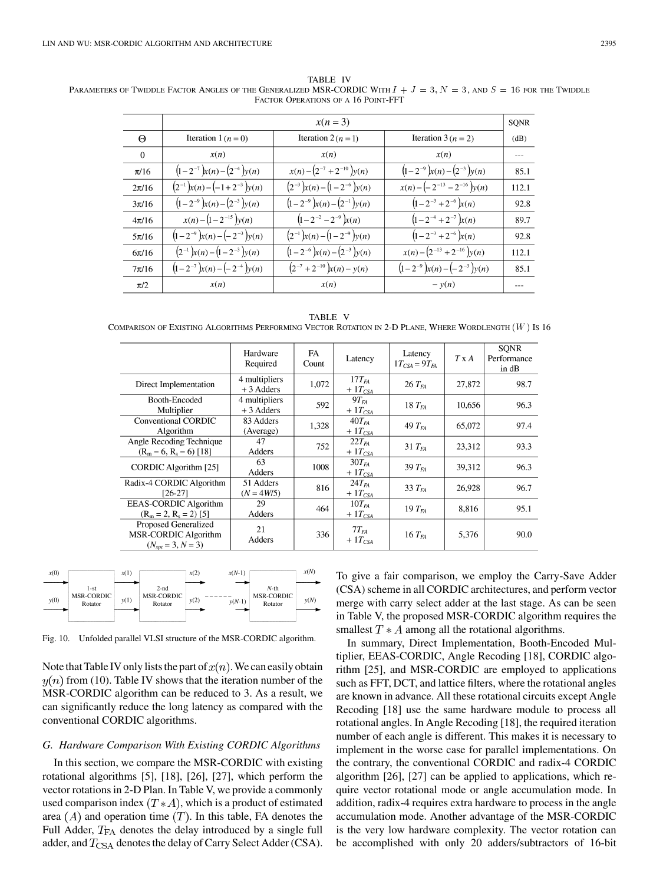|           | $x(n=3)$                        |                                        |                                   |       |  |  |
|-----------|---------------------------------|----------------------------------------|-----------------------------------|-------|--|--|
| Θ         | Iteration $1(n=0)$              | Iteration $2(n=1)$                     | Iteration $3(n=2)$                | (dB)  |  |  |
| $\Omega$  | x(n)                            | x(n)                                   | x(n)                              |       |  |  |
| $\pi/16$  | $(1-2^{-7})x(n) - (2^{-4})y(n)$ | $x(n) - (2^{-7} + 2^{-10})y(n)$        | $(1-2^{-9})x(n) - (2^{-3})y(n)$   | 85.1  |  |  |
| $2\pi/16$ | $(2^{-1})x(n)-(-1+2^{-3})y(n)$  | $(2^{-3})x(n) - (1-2^{-6})y(n)$        | $x(n) - (-2^{-13} - 2^{-16})y(n)$ | 112.1 |  |  |
| $3\pi/16$ | $(1-2^{-9})x(n) - (2^{-3})y(n)$ | $(1-2^{-9})x(n) - (2^{-1})y(n)$        | $(1-2^{-3}+2^{-6})x(n)$           | 92.8  |  |  |
| $4\pi/16$ | $x(n) - (1-2^{-15})y(n)$        | $(1-2^{-2}-2^{-9})x(n)$                | $(1-2^{-4}+2^{-7})x(n)$           | 89.7  |  |  |
| $5\pi/16$ | $(1-2^{-9})x(n)-(-2^{-3})y(n)$  | $(2^{-1})x(n) - (1-2^{-9})y(n)$        | $(1-2^{-3}+2^{-6})x(n)$           | 92.8  |  |  |
| $6\pi/16$ | $(2^{-1})x(n) - (1-2^{-3})y(n)$ | $(1-2^{-6})x(n) - (2^{-3})y(n)$        | $x(n) - (2^{-13} + 2^{-16})y(n)$  | 112.1 |  |  |
| $7\pi/16$ | $(1-2^{-7})x(n)-(-2^{-4})y(n)$  | $\left(2^{-7}+2^{-10}\right)x(n)-y(n)$ | $(1-2^{-9})x(n)-(-2^{-3})y(n)$    | 85.1  |  |  |
| $\pi/2$   | x(n)                            | x(n)                                   | $-y(n)$                           |       |  |  |

TABLE IV PARAMETERS OF TWIDDLE FACTOR ANGLES OF THE GENERALIZED MSR-CORDIC WITH  $I + J = 3$ ,  $N = 3$ , and  $S = 16$  for the Twiddle FACTOR OPERATIONS OF A 16 POINT-FFT

TABLE V COMPARISON OF EXISTING ALGORITHMS PERFORMING VECTOR ROTATION IN 2-D PLANE, WHERE WORDLENGTH (W) IS 16

|                                                                            | Hardware<br>Required         | FA<br>Count | Latency                   | Latency<br>$1T_{CSA} = 9T_{FA}$ | T X A  | <b>SONR</b><br>Performance<br>in dB |
|----------------------------------------------------------------------------|------------------------------|-------------|---------------------------|---------------------------------|--------|-------------------------------------|
| Direct Implementation                                                      | 4 multipliers<br>+ 3 Adders  | 1.072       | $17T_{FA}$<br>$+1T_{CSA}$ | $26 T_{FA}$                     | 27,872 | 98.7                                |
| Booth-Encoded<br>Multiplier                                                | 4 multipliers<br>$+3$ Adders | 592         | $9T_{FA}$<br>$+1T_{CSA}$  | 18 $T_{FA}$                     | 10.656 | 96.3                                |
| <b>Conventional CORDIC</b><br>Algorithm                                    | 83 Adders<br>(Average)       | 1,328       | $40T_{FA}$<br>$+1T_{CSA}$ | 49 $T_{FA}$                     | 65,072 | 97.4                                |
| Angle Recoding Technique<br>$(Rm = 6, Rs = 6)$ [18]                        | 47<br>Adders                 | 752         | $22T_{FA}$<br>$+1T_{CSA}$ | 31 $T_{FA}$                     | 23.312 | 93.3                                |
| CORDIC Algorithm [25]                                                      | 63<br>Adders                 | 1008        | $30T_{FA}$<br>$+1T_{CSA}$ | 39 $T_{FA}$                     | 39,312 | 96.3                                |
| Radix-4 CORDIC Algorithm<br>$[26-27]$                                      | 51 Adders<br>$(N = 4W/5)$    | 816         | $24T_{FA}$<br>$+1T_{CSA}$ | 33 $T_{FA}$                     | 26,928 | 96.7                                |
| EEAS-CORDIC Algorithm<br>$(R_m = 2, R_s = 2)$ [5]                          | 29<br>Adders                 | 464         | $10T_{FA}$<br>$+1T_{CSA}$ | 19 $T_{FA}$                     | 8,816  | 95.1                                |
| Proposed Generalized<br>MSR-CORDIC Algorithm<br>$(N_{\rm sn1} = 3, N = 3)$ | 21<br>Adders                 | 336         | $7T_{FA}$<br>$+1T_{CSA}$  | 16 $T_{FA}$                     | 5,376  | 90.0                                |



Fig. 10. Unfolded parallel VLSI structure of the MSR-CORDIC algorithm.

Note that Table IV only lists the part of  $x(n)$ . We can easily obtain  $y(n)$  from (10). Table IV shows that the iteration number of the MSR-CORDIC algorithm can be reduced to 3. As a result, we can significantly reduce the long latency as compared with the conventional CORDIC algorithms.

#### *G. Hardware Comparison With Existing CORDIC Algorithms*

In this section, we compare the MSR-CORDIC with existing rotational algorithms [[5\]](#page-11-0), [[18\]](#page-11-0), [[26\]](#page-11-0), [\[27](#page-11-0)], which perform the vector rotations in 2-D Plan. In Table V, we provide a commonly used comparison index  $(T*A)$ , which is a product of estimated area  $(A)$  and operation time  $(T)$ . In this table, FA denotes the Full Adder,  $T_{FA}$  denotes the delay introduced by a single full adder, and  $T_{\text{CSA}}$  denotes the delay of Carry Select Adder (CSA).

To give a fair comparison, we employ the Carry-Save Adder (CSA) scheme in all CORDIC architectures, and perform vector merge with carry select adder at the last stage. As can be seen in Table V, the proposed MSR-CORDIC algorithm requires the smallest  $T \ast A$  among all the rotational algorithms.

In summary, Direct Implementation, Booth-Encoded Multiplier, EEAS-CORDIC, Angle Recoding [[18\]](#page-11-0), CORDIC algorithm [[25\]](#page-11-0), and MSR-CORDIC are employed to applications such as FFT, DCT, and lattice filters, where the rotational angles are known in advance. All these rotational circuits except Angle Recoding [[18\]](#page-11-0) use the same hardware module to process all rotational angles. In Angle Recoding [[18\]](#page-11-0), the required iteration number of each angle is different. This makes it is necessary to implement in the worse case for parallel implementations. On the contrary, the conventional CORDIC and radix-4 CORDIC algorithm [[26\]](#page-11-0), [\[27\]](#page-11-0) can be applied to applications, which require vector rotational mode or angle accumulation mode. In addition, radix-4 requires extra hardware to process in the angle accumulation mode. Another advantage of the MSR-CORDIC is the very low hardware complexity. The vector rotation can be accomplished with only 20 adders/subtractors of 16-bit